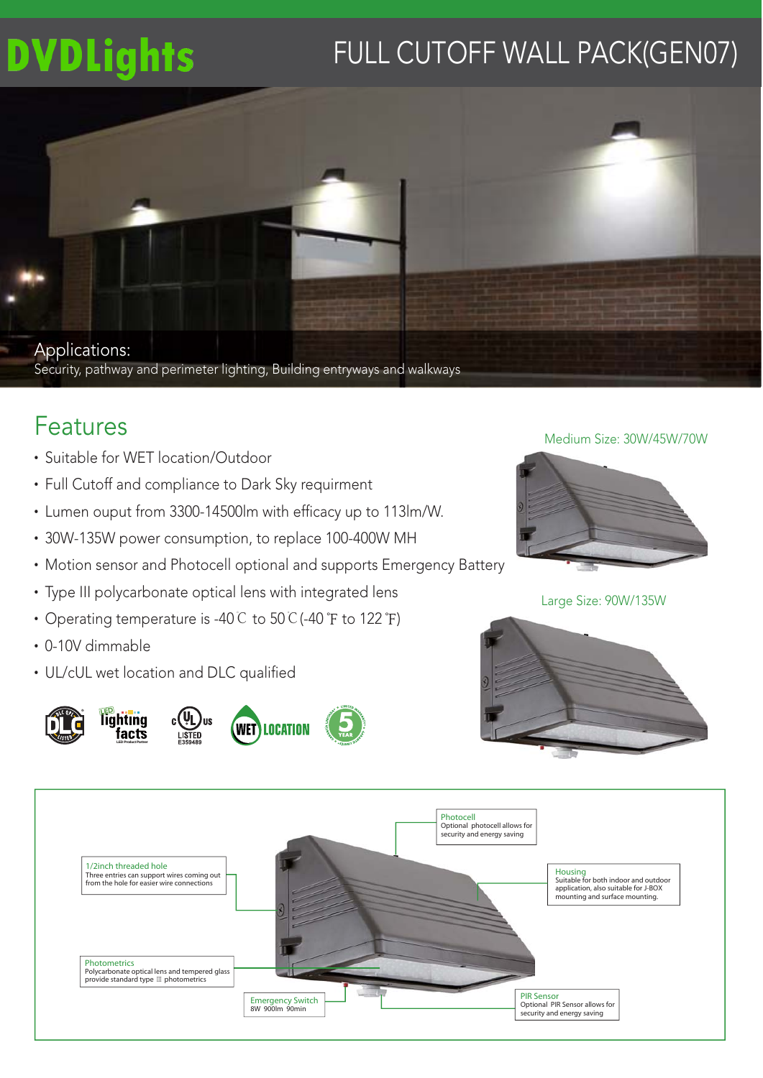# **DVDLights**

# FULL CUTOFF WALL PACK(GEN07)



# Features

- $\cdot$  Suitable for WFT location/Outdoor
- Full Cutoff and compliance to Dark Sky requirment
- Lumen ouput from 3300-14500lm with efficacy up to 113lm/W.
- 30W-135W power consumption, to replace 100-400W MH
- Motion sensor and Photocell optional and supports Emergency Battery
- Type III polycarbonate optical lens with integrated lens
- Operating temperature is -40℃ to 50℃(-40 °F to 122 °F)
- $\cdot$  0-10V dimmable
- UL/cUL wet location and DLC qualified







Large Size: 90W/135W